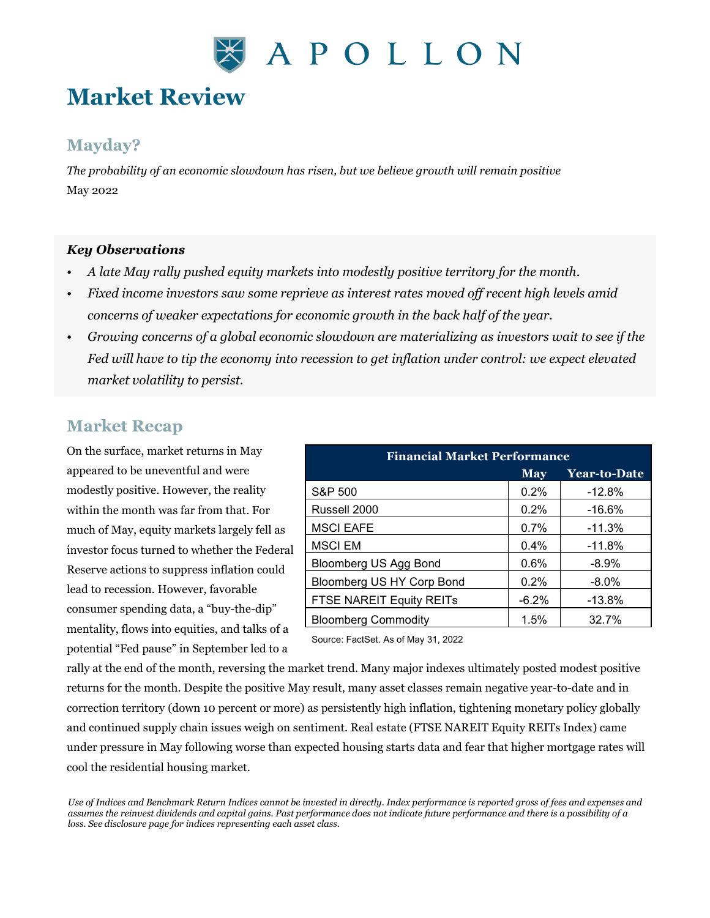

# **Market Review**

### **Mayday?**

*The probability of an economic slowdown has risen, but we believe growth will remain positive* May 2022

#### *Key Observations*

- *A late May rally pushed equity markets into modestly positive territory for the month.*
- *Fixed income investors saw some reprieve as interest rates moved off recent high levels amid concerns of weaker expectations for economic growth in the back half of the year.*
- *Growing concerns of a global economic slowdown are materializing as investors wait to see if the Fed will have to tip the economy into recession to get inflation under control: we expect elevated market volatility to persist.*

### **Market Recap**

On the surface, market returns in May appeared to be uneventful and were modestly positive. However, the reality within the month was far from that. For much of May, equity markets largely fell as investor focus turned to whether the Federal Reserve actions to suppress inflation could lead to recession. However, favorable consumer spending data, a "buy-the-dip" mentality, flows into equities, and talks of a potential "Fed pause" in September led to a

| <b>Financial Market Performance</b> |            |              |
|-------------------------------------|------------|--------------|
|                                     | <b>May</b> | Year-to-Date |
| S&P 500                             | 0.2%       | $-12.8%$     |
| Russell 2000                        | 0.2%       | $-16.6\%$    |
| <b>MSCI EAFE</b>                    | 0.7%       | $-11.3%$     |
| <b>MSCI EM</b>                      | 0.4%       | $-11.8%$     |
| <b>Bloomberg US Agg Bond</b>        | 0.6%       | $-8.9\%$     |
| Bloomberg US HY Corp Bond           | 0.2%       | $-8.0\%$     |
| FTSE NAREIT Equity REITs            | $-6.2%$    | $-13.8%$     |
| <b>Bloomberg Commodity</b>          | 1.5%       | 32.7%        |

Source: FactSet. As of May 31, 2022

rally at the end of the month, reversing the market trend. Many major indexes ultimately posted modest positive returns for the month. Despite the positive May result, many asset classes remain negative year-to-date and in correction territory (down 10 percent or more) as persistently high inflation, tightening monetary policy globally and continued supply chain issues weigh on sentiment. Real estate (FTSE NAREIT Equity REITs Index) came under pressure in May following worse than expected housing starts data and fear that higher mortgage rates will cool the residential housing market.

*Use of Indices and Benchmark Return Indices cannot be invested in directly. Index performance is reported gross of fees and expenses and assumes the reinvest dividends and capital gains. Past performance does not indicate future performance and there is a possibility of a loss. See disclosure page for indices representing each asset class.*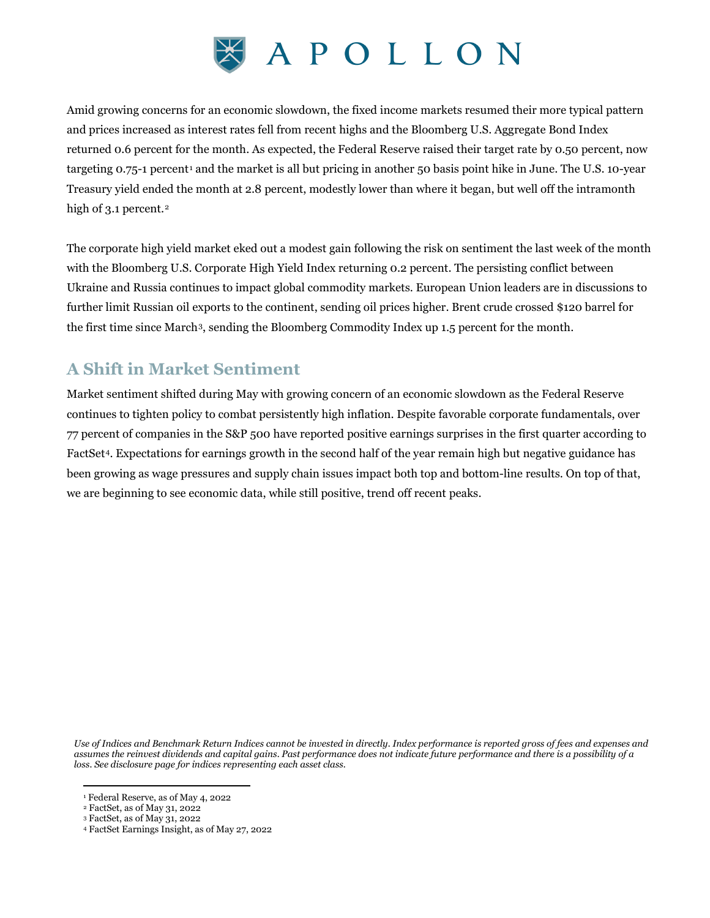

Amid growing concerns for an economic slowdown, the fixed income markets resumed their more typical pattern and prices increased as interest rates fell from recent highs and the Bloomberg U.S. Aggregate Bond Index returned 0.6 percent for the month. As expected, the Federal Reserve raised their target rate by 0.50 percent, now targeting 0.75-1 percent[1](#page-1-0) and the market is all but pricing in another 50 basis point hike in June. The U.S. 10-year Treasury yield ended the month at 2.8 percent, modestly lower than where it began, but well off the intramonth high of 3.1 percent.<sup>[2](#page-1-1)</sup>

The corporate high yield market eked out a modest gain following the risk on sentiment the last week of the month with the Bloomberg U.S. Corporate High Yield Index returning 0.2 percent. The persisting conflict between Ukraine and Russia continues to impact global commodity markets. European Union leaders are in discussions to further limit Russian oil exports to the continent, sending oil prices higher. Brent crude crossed \$120 barrel for the first time since March[3,](#page-1-2) sending the Bloomberg Commodity Index up 1.5 percent for the month.

## **A Shift in Market Sentiment**

Market sentiment shifted during May with growing concern of an economic slowdown as the Federal Reserve continues to tighten policy to combat persistently high inflation. Despite favorable corporate fundamentals, over 77 percent of companies in the S&P 500 have reported positive earnings surprises in the first quarter according to FactSet[4.](#page-1-3) Expectations for earnings growth in the second half of the year remain high but negative guidance has been growing as wage pressures and supply chain issues impact both top and bottom-line results. On top of that, we are beginning to see economic data, while still positive, trend off recent peaks.

*Use of Indices and Benchmark Return Indices cannot be invested in directly. Index performance is reported gross of fees and expenses and assumes the reinvest dividends and capital gains. Past performance does not indicate future performance and there is a possibility of a loss. See disclosure page for indices representing each asset class.*

<span id="page-1-0"></span><sup>1</sup> Federal Reserve, as of May 4, 2022

<span id="page-1-1"></span><sup>2</sup> FactSet, as of May 31, 2022

<sup>3</sup> FactSet, as of May 31, 2022

<span id="page-1-3"></span><span id="page-1-2"></span><sup>4</sup> FactSet Earnings Insight, as of May 27, 2022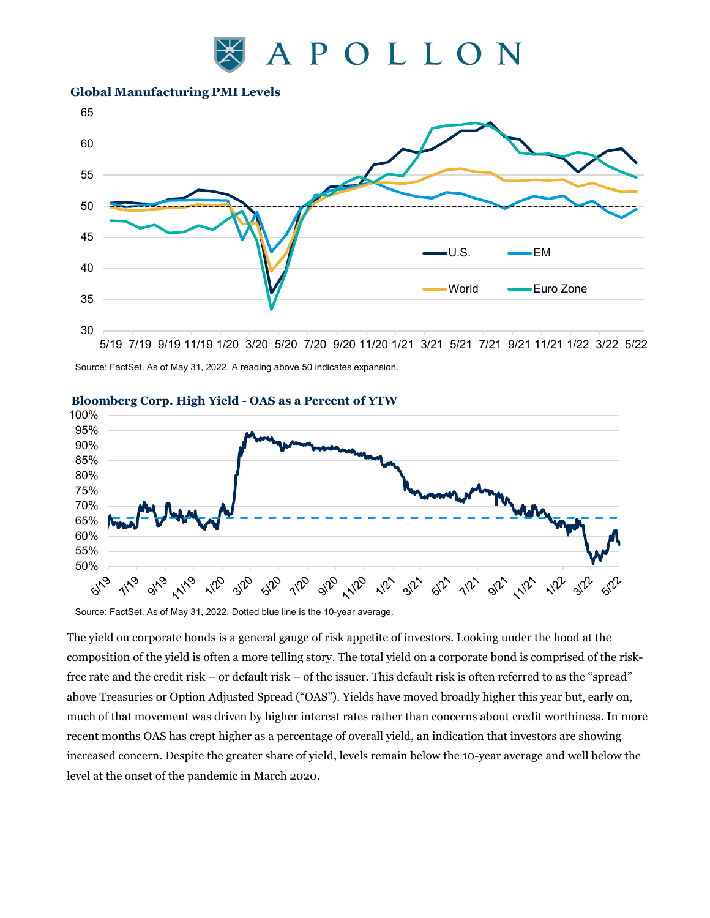

#### **Global Manufacturing PMI Levels**



Source: FactSet. As of May 31, 2022. A reading above 50 indicates expansion.



#### **Bloomberg Corp. High Yield - OAS as a Percent of YTW**

Source: FactSet. As of May 31, 2022. Dotted blue line is the 10-year average.

The yield on corporate bonds is a general gauge of risk appetite of investors. Looking under the hood at the composition of the yield is often a more telling story. The total yield on a corporate bond is comprised of the riskfree rate and the credit risk – or default risk – of the issuer. This default risk is often referred to as the "spread" above Treasuries or Option Adjusted Spread ("OAS"). Yields have moved broadly higher this year but, early on, much of that movement was driven by higher interest rates rather than concerns about credit worthiness. In more recent months OAS has crept higher as a percentage of overall yield, an indication that investors are showing increased concern. Despite the greater share of yield, levels remain below the 10-year average and well below the level at the onset of the pandemic in March 2020.